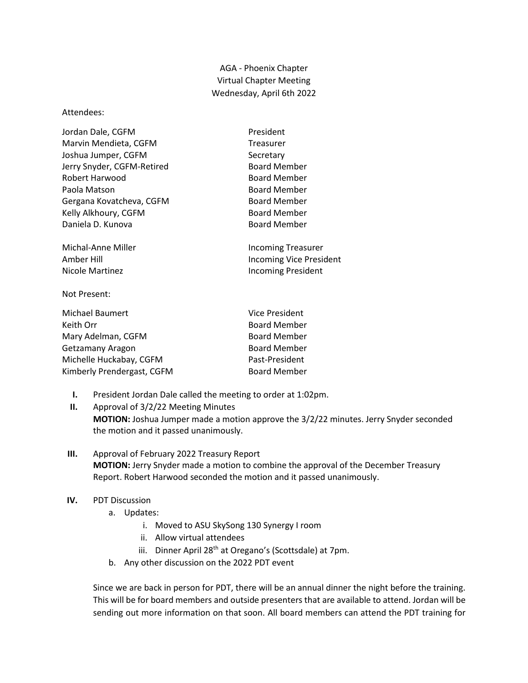AGA - Phoenix Chapter Virtual Chapter Meeting Wednesday, April 6th 2022

## Attendees:

| Jordan Dale, CGFM          | President           |
|----------------------------|---------------------|
| Marvin Mendieta, CGFM      | <b>Treasurer</b>    |
| Joshua Jumper, CGFM        | Secretary           |
| Jerry Snyder, CGFM-Retired | <b>Board Member</b> |
| Robert Harwood             | <b>Board Member</b> |
| Paola Matson               | <b>Board Member</b> |
| Gergana Kovatcheva, CGFM   | <b>Board Member</b> |
| Kelly Alkhoury, CGFM       | <b>Board Member</b> |
| Daniela D. Kunova          | <b>Board Member</b> |
|                            |                     |

Michal-Anne Miller **Incoming Treasurer** Amber Hill **Amber Hill** Incoming Vice President Nicole Martinez **Incoming President** 

## Not Present:

| Michael Baumert            | Vice President      |
|----------------------------|---------------------|
| Keith Orr                  | <b>Board Member</b> |
| Mary Adelman, CGFM         | <b>Board Member</b> |
| Getzamany Aragon           | <b>Board Member</b> |
| Michelle Huckabay, CGFM    | Past-President      |
| Kimberly Prendergast, CGFM | <b>Board Member</b> |

- **I.** President Jordan Dale called the meeting to order at 1:02pm.
- **II.** Approval of 3/2/22 Meeting Minutes **MOTION:** Joshua Jumper made a motion approve the 3/2/22 minutes. Jerry Snyder seconded the motion and it passed unanimously.
- **III.** Approval of February 2022 Treasury Report **MOTION:** Jerry Snyder made a motion to combine the approval of the December Treasury Report. Robert Harwood seconded the motion and it passed unanimously.
- **IV.** PDT Discussion
	- a. Updates:
		- i. Moved to ASU SkySong 130 Synergy I room
		- ii. Allow virtual attendees
		- iii. Dinner April 28<sup>th</sup> at Oregano's (Scottsdale) at 7pm.
	- b. Any other discussion on the 2022 PDT event

Since we are back in person for PDT, there will be an annual dinner the night before the training. This will be for board members and outside presenters that are available to attend. Jordan will be sending out more information on that soon. All board members can attend the PDT training for